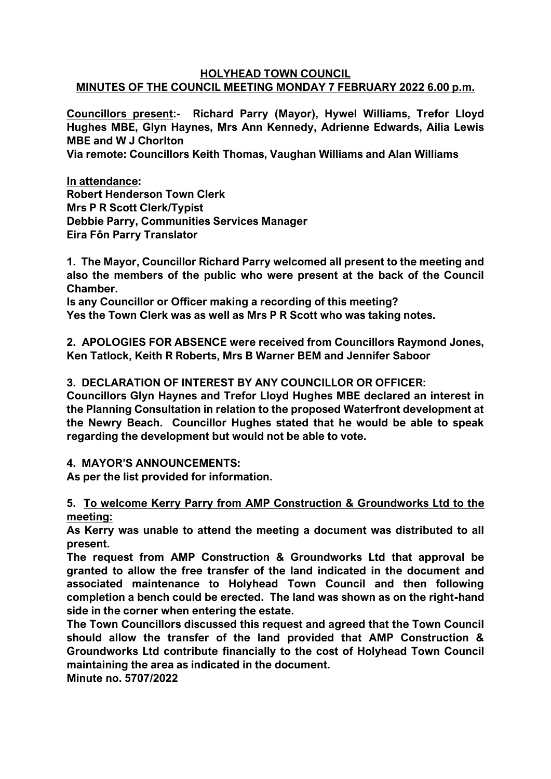## **HOLYHEAD TOWN COUNCIL MINUTES OF THE COUNCIL MEETING MONDAY 7 FEBRUARY 2022 6.00 p.m.**

**Councillors present:- Richard Parry (Mayor), Hywel Williams, Trefor Lloyd Hughes MBE, Glyn Haynes, Mrs Ann Kennedy, Adrienne Edwards, Ailia Lewis MBE and W J Chorlton**

**Via remote: Councillors Keith Thomas, Vaughan Williams and Alan Williams**

**In attendance: Robert Henderson Town Clerk Mrs P R Scott Clerk/Typist Debbie Parry, Communities Services Manager Eira Fôn Parry Translator**

**1. The Mayor, Councillor Richard Parry welcomed all present to the meeting and also the members of the public who were present at the back of the Council Chamber.**

**Is any Councillor or Officer making a recording of this meeting? Yes the Town Clerk was as well as Mrs P R Scott who was taking notes.**

**2. APOLOGIES FOR ABSENCE were received from Councillors Raymond Jones, Ken Tatlock, Keith R Roberts, Mrs B Warner BEM and Jennifer Saboor**

# **3. DECLARATION OF INTEREST BY ANY COUNCILLOR OR OFFICER:**

**Councillors Glyn Haynes and Trefor Lloyd Hughes MBE declared an interest in the Planning Consultation in relation to the proposed Waterfront development at the Newry Beach. Councillor Hughes stated that he would be able to speak regarding the development but would not be able to vote.**

## **4. MAYOR'S ANNOUNCEMENTS:**

**As per the list provided for information.** 

**5. To welcome Kerry Parry from AMP Construction & Groundworks Ltd to the meeting:**

**As Kerry was unable to attend the meeting a document was distributed to all present.**

**The request from AMP Construction & Groundworks Ltd that approval be granted to allow the free transfer of the land indicated in the document and associated maintenance to Holyhead Town Council and then following completion a bench could be erected. The land was shown as on the right-hand side in the corner when entering the estate.**

**The Town Councillors discussed this request and agreed that the Town Council should allow the transfer of the land provided that AMP Construction & Groundworks Ltd contribute financially to the cost of Holyhead Town Council maintaining the area as indicated in the document.**

**Minute no. 5707/2022**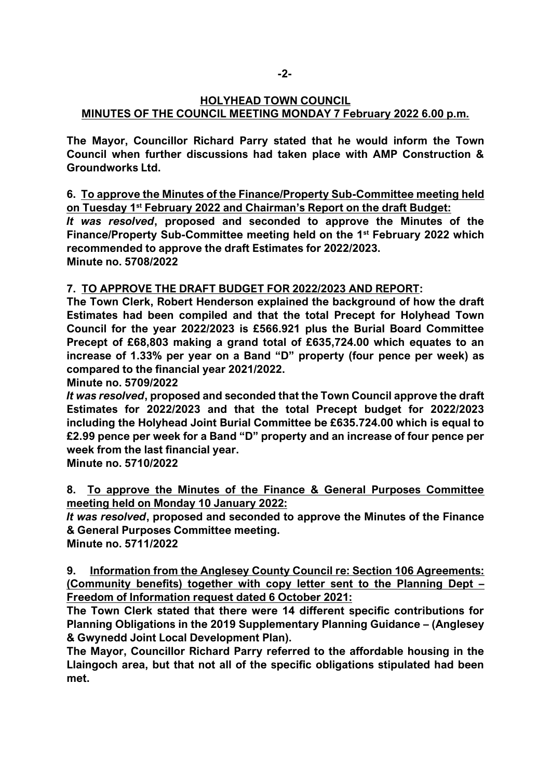# **HOLYHEAD TOWN COUNCIL MINUTES OF THE COUNCIL MEETING MONDAY 7 February 2022 6.00 p.m.**

**The Mayor, Councillor Richard Parry stated that he would inform the Town Council when further discussions had taken place with AMP Construction & Groundworks Ltd.**

**6. To approve the Minutes of the Finance/Property Sub-Committee meeting held on Tuesday 1st February 2022 and Chairman's Report on the draft Budget:**

*It was resolved***, proposed and seconded to approve the Minutes of the Finance/Property Sub-Committee meeting held on the 1st February 2022 which recommended to approve the draft Estimates for 2022/2023. Minute no. 5708/2022**

# **7. TO APPROVE THE DRAFT BUDGET FOR 2022/2023 AND REPORT:**

**The Town Clerk, Robert Henderson explained the background of how the draft Estimates had been compiled and that the total Precept for Holyhead Town Council for the year 2022/2023 is £566.921 plus the Burial Board Committee Precept of £68,803 making a grand total of £635,724.00 which equates to an increase of 1.33% per year on a Band "D" property (four pence per week) as compared to the financial year 2021/2022.**

**Minute no. 5709/2022**

*It was resolved***, proposed and seconded that the Town Council approve the draft Estimates for 2022/2023 and that the total Precept budget for 2022/2023 including the Holyhead Joint Burial Committee be £635.724.00 which is equal to £2.99 pence per week for a Band "D" property and an increase of four pence per week from the last financial year.**

**Minute no. 5710/2022**

**8. To approve the Minutes of the Finance & General Purposes Committee meeting held on Monday 10 January 2022:**

*It was resolved***, proposed and seconded to approve the Minutes of the Finance & General Purposes Committee meeting.**

**Minute no. 5711/2022**

**9. Information from the Anglesey County Council re: Section 106 Agreements: (Community benefits) together with copy letter sent to the Planning Dept – Freedom of Information request dated 6 October 2021:**

**The Town Clerk stated that there were 14 different specific contributions for Planning Obligations in the 2019 Supplementary Planning Guidance – (Anglesey & Gwynedd Joint Local Development Plan).**

**The Mayor, Councillor Richard Parry referred to the affordable housing in the Llaingoch area, but that not all of the specific obligations stipulated had been met.**